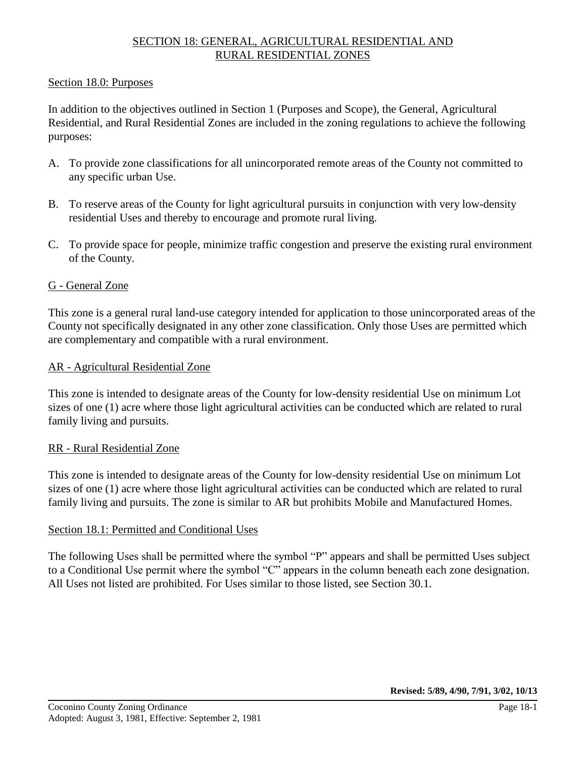## SECTION 18: GENERAL, AGRICULTURAL RESIDENTIAL AND RURAL RESIDENTIAL ZONES

#### Section 18.0: Purposes

In addition to the objectives outlined in Section 1 (Purposes and Scope), the General, Agricultural Residential, and Rural Residential Zones are included in the zoning regulations to achieve the following purposes:

- A. To provide zone classifications for all unincorporated remote areas of the County not committed to any specific urban Use.
- B. To reserve areas of the County for light agricultural pursuits in conjunction with very low-density residential Uses and thereby to encourage and promote rural living.
- C. To provide space for people, minimize traffic congestion and preserve the existing rural environment of the County.

#### G - General Zone

This zone is a general rural land-use category intended for application to those unincorporated areas of the County not specifically designated in any other zone classification. Only those Uses are permitted which are complementary and compatible with a rural environment.

#### AR - Agricultural Residential Zone

This zone is intended to designate areas of the County for low-density residential Use on minimum Lot sizes of one (1) acre where those light agricultural activities can be conducted which are related to rural family living and pursuits.

#### RR - Rural Residential Zone

This zone is intended to designate areas of the County for low-density residential Use on minimum Lot sizes of one (1) acre where those light agricultural activities can be conducted which are related to rural family living and pursuits. The zone is similar to AR but prohibits Mobile and Manufactured Homes.

#### Section 18.1: Permitted and Conditional Uses

The following Uses shall be permitted where the symbol "P" appears and shall be permitted Uses subject to a Conditional Use permit where the symbol "C" appears in the column beneath each zone designation. All Uses not listed are prohibited. For Uses similar to those listed, see Section 30.1.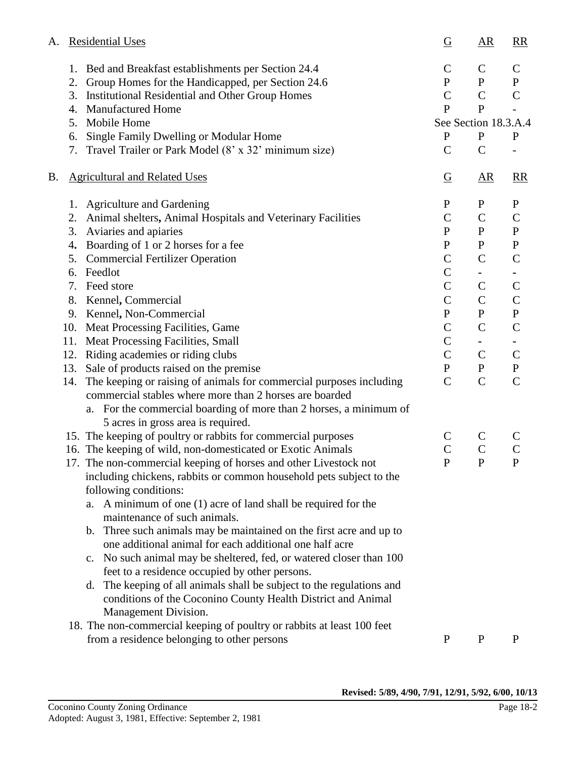| А. |     | <b>Residential Uses</b>                                                                                  |                | $\overline{AR}$      | R                      |
|----|-----|----------------------------------------------------------------------------------------------------------|----------------|----------------------|------------------------|
|    | 1.  | Bed and Breakfast establishments per Section 24.4                                                        | $\mathsf{C}$   | $\mathsf{C}$         | $\mathsf{C}$           |
|    | 2.  | Group Homes for the Handicapped, per Section 24.6                                                        | ${\bf P}$      | $\mathbf{P}$         | $\mathbf{P}$           |
|    | 3.  | Institutional Residential and Other Group Homes                                                          | $\mathcal{C}$  | $\mathsf{C}$         | $\mathbf C$            |
|    |     | 4. Manufactured Home                                                                                     | $\mathbf{P}$   | $\mathbf{P}$         |                        |
|    | 5.  | Mobile Home                                                                                              |                | See Section 18.3.A.4 |                        |
|    | 6.  | Single Family Dwelling or Modular Home                                                                   | P              | P                    | $\mathbf P$            |
|    | 7.  | Travel Trailer or Park Model (8' x 32' minimum size)                                                     | $\mathcal{C}$  | $\mathcal{C}$        |                        |
| B. |     | <b>Agricultural and Related Uses</b>                                                                     | $\overline{G}$ | $\overline{AR}$      | $\overline{\text{RR}}$ |
|    |     | 1. Agriculture and Gardening                                                                             | $\mathbf P$    | $\mathbf P$          | $\mathbf P$            |
|    | 2.  | Animal shelters, Animal Hospitals and Veterinary Facilities                                              | $\mathcal{C}$  | $\mathbf C$          | $\mathcal{C}$          |
|    | 3.  | Aviaries and apiaries                                                                                    | $\mathbf P$    | $\mathbf{P}$         | $\mathbf P$            |
|    | 4.  | Boarding of 1 or 2 horses for a fee                                                                      | $\mathbf P$    | $\mathbf{P}$         | $\mathbf{P}$           |
|    | 5.  | <b>Commercial Fertilizer Operation</b>                                                                   | $\mathsf{C}$   | $\mathbf C$          | $\mathcal{C}$          |
|    | 6.  | Feedlot                                                                                                  | $\mathsf{C}$   | ٠                    |                        |
|    | 7.  | Feed store                                                                                               | $\mathsf{C}$   | $\mathbf C$          | $\mathsf{C}$           |
|    |     | 8. Kennel, Commercial                                                                                    | $\mathsf{C}$   | $\mathbf C$          | $\mathcal{C}$          |
|    |     | 9. Kennel, Non-Commercial                                                                                | $\mathbf{P}$   | $\mathbf{P}$         | ${\bf P}$              |
|    |     | 10. Meat Processing Facilities, Game                                                                     | $\mathcal{C}$  | $\mathsf{C}$         | $\mathcal{C}$          |
|    |     | 11. Meat Processing Facilities, Small                                                                    | $\overline{C}$ | ٠                    |                        |
|    | 12. | Riding academies or riding clubs                                                                         | $\mathcal{C}$  | $\mathbf C$          | $\mathsf{C}$           |
|    |     | 13. Sale of products raised on the premise                                                               | $\mathbf{P}$   | $\mathbf{P}$         | ${\bf P}$              |
|    | 14. | The keeping or raising of animals for commercial purposes including                                      | $\mathcal{C}$  | $\mathbf C$          | $\mathcal{C}$          |
|    |     | commercial stables where more than 2 horses are boarded                                                  |                |                      |                        |
|    |     | a. For the commercial boarding of more than 2 horses, a minimum of<br>5 acres in gross area is required. |                |                      |                        |
|    |     | 15. The keeping of poultry or rabbits for commercial purposes                                            | $\mathsf{C}$   | $\mathsf{C}$         | C                      |
|    |     | 16. The keeping of wild, non-domesticated or Exotic Animals                                              | $\overline{C}$ | $\mathsf{C}$         | $\mathsf{C}$           |
|    |     | 17. The non-commercial keeping of horses and other Livestock not                                         |                | P                    | P                      |
|    |     | including chickens, rabbits or common household pets subject to the                                      |                |                      |                        |
|    |     | following conditions:                                                                                    |                |                      |                        |
|    |     | a. A minimum of one (1) acre of land shall be required for the<br>maintenance of such animals.           |                |                      |                        |
|    |     |                                                                                                          |                |                      |                        |
|    |     | Three such animals may be maintained on the first acre and up to<br>b.                                   |                |                      |                        |
|    |     | one additional animal for each additional one half acre                                                  |                |                      |                        |
|    |     | No such animal may be sheltered, fed, or watered closer than 100<br>$\mathbf{c}$ .                       |                |                      |                        |
|    |     | feet to a residence occupied by other persons.                                                           |                |                      |                        |
|    |     | The keeping of all animals shall be subject to the regulations and<br>d.                                 |                |                      |                        |
|    |     | conditions of the Coconino County Health District and Animal                                             |                |                      |                        |
|    |     | Management Division.                                                                                     |                |                      |                        |
|    |     | 18. The non-commercial keeping of poultry or rabbits at least 100 feet                                   |                |                      |                        |
|    |     | from a residence belonging to other persons                                                              | $\mathbf{P}$   | $\mathbf{P}$         | $\mathbf{P}$           |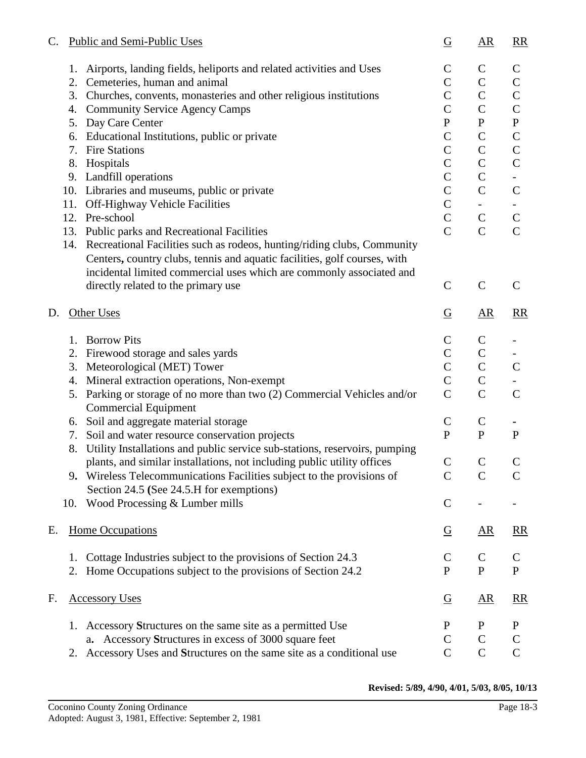| C. | Public and Semi-Public Uses                                                                                                                                                                                                      | $\overline{G}$ | $\overline{AR}$          | $\underline{RR}$         |
|----|----------------------------------------------------------------------------------------------------------------------------------------------------------------------------------------------------------------------------------|----------------|--------------------------|--------------------------|
|    | Airports, landing fields, heliports and related activities and Uses<br>1.                                                                                                                                                        | $\mathbf C$    | $\mathcal{C}$            | $\mathsf{C}$             |
|    | Cemeteries, human and animal<br>2.                                                                                                                                                                                               | $\overline{C}$ | $\mathsf{C}$             | $\mathsf{C}$             |
|    | Churches, convents, monasteries and other religious institutions<br>3.                                                                                                                                                           | $\mathcal{C}$  | $\mathcal{C}$            | $\mathsf{C}$             |
|    | 4. Community Service Agency Camps                                                                                                                                                                                                | $\mathcal{C}$  | $\mathsf{C}$             | $\mathsf{C}$             |
|    | Day Care Center<br>5.                                                                                                                                                                                                            | $\mathbf{P}$   | ${\bf P}$                | ${\bf P}$                |
|    | Educational Institutions, public or private<br>6.                                                                                                                                                                                | $\mathsf{C}$   | $\mathcal{C}$            | $\mathsf{C}$             |
|    | <b>Fire Stations</b><br>7.                                                                                                                                                                                                       | $\mathcal{C}$  | $\mathcal{C}$            | $\mathsf C$              |
|    | Hospitals<br>8.                                                                                                                                                                                                                  | $\mathcal{C}$  | $\mathcal{C}$            | $\mathsf{C}$             |
|    | 9. Landfill operations                                                                                                                                                                                                           | $\mathbf C$    | $\mathcal{C}$            |                          |
|    | 10. Libraries and museums, public or private                                                                                                                                                                                     | $\overline{C}$ | $\mathbf C$              | $\mathsf{C}$             |
|    | 11.<br><b>Off-Highway Vehicle Facilities</b>                                                                                                                                                                                     | $\mathcal{C}$  | $\overline{\phantom{0}}$ | $\overline{\phantom{0}}$ |
|    | 12. Pre-school                                                                                                                                                                                                                   | $\mathsf{C}$   | $\mathsf{C}$             | $\mathsf C$              |
|    | 13. Public parks and Recreational Facilities                                                                                                                                                                                     | $\overline{C}$ | $\mathsf{C}$             | $\mathcal{C}$            |
|    | 14. Recreational Facilities such as rodeos, hunting/riding clubs, Community<br>Centers, country clubs, tennis and aquatic facilities, golf courses, with<br>incidental limited commercial uses which are commonly associated and |                |                          |                          |
|    | directly related to the primary use                                                                                                                                                                                              | $\mathcal{C}$  | $\mathcal{C}$            | $\mathsf{C}$             |
| D. | Other Uses                                                                                                                                                                                                                       |                | $\overline{AR}$          | $\underline{RR}$         |
|    | <b>Borrow Pits</b><br>1.                                                                                                                                                                                                         | $\mathbf C$    | $\mathsf{C}$             |                          |
|    | Firewood storage and sales yards<br>2.                                                                                                                                                                                           | $\mathcal{C}$  | $\mathsf C$              |                          |
|    | 3. Meteorological (MET) Tower                                                                                                                                                                                                    | $\mathcal{C}$  | $\mathsf{C}$             | $\mathsf{C}$             |
|    | Mineral extraction operations, Non-exempt<br>4.                                                                                                                                                                                  | $\mathbf C$    | $\mathsf{C}$             |                          |
|    | Parking or storage of no more than two (2) Commercial Vehicles and/or<br>5.                                                                                                                                                      | $\mathbf C$    | $\mathsf{C}$             | $\mathbf C$              |
|    | <b>Commercial Equipment</b>                                                                                                                                                                                                      |                |                          |                          |
|    | 6. Soil and aggregate material storage                                                                                                                                                                                           | $\mathsf{C}$   | $\mathsf{C}$             |                          |
|    | Soil and water resource conservation projects<br>7.                                                                                                                                                                              | ${\bf P}$      | $\mathbf{P}$             | ${\bf P}$                |
|    | Utility Installations and public service sub-stations, reservoirs, pumping<br>8.                                                                                                                                                 |                |                          |                          |
|    | plants, and similar installations, not including public utility offices                                                                                                                                                          | $\mathsf C$    | $\mathsf{C}$             | $\mathsf{C}$             |
|    | 9. Wireless Telecommunications Facilities subject to the provisions of                                                                                                                                                           | $\mathcal{C}$  | $\mathbf C$              | $\mathsf C$              |
|    | Section 24.5 (See 24.5.H for exemptions)                                                                                                                                                                                         |                |                          |                          |
|    | Wood Processing & Lumber mills<br>10.                                                                                                                                                                                            | $\mathbf C$    |                          |                          |
| Е. | <b>Home Occupations</b>                                                                                                                                                                                                          | $\overline{G}$ | $\underline{AR}$         | $\underline{RR}$         |
|    | Cottage Industries subject to the provisions of Section 24.3<br>1.                                                                                                                                                               | $\mathsf{C}$   | $\mathbf C$              | $\mathsf{C}$             |
|    | Home Occupations subject to the provisions of Section 24.2<br>2.                                                                                                                                                                 | P              | $\mathbf{P}$             | $\mathbf{P}$             |
| F. | <b>Accessory Uses</b>                                                                                                                                                                                                            | $\overline{G}$ | $\underline{AR}$         | $\underline{RR}$         |
|    | 1. Accessory Structures on the same site as a permitted Use                                                                                                                                                                      | $\mathbf{P}$   | $\mathbf P$              | $\mathbf P$              |
|    | a. Accessory Structures in excess of 3000 square feet                                                                                                                                                                            | $\mathbf C$    | $\mathsf{C}$             | $\mathcal{C}$            |
|    | Accessory Uses and Structures on the same site as a conditional use<br>2.                                                                                                                                                        | $\mathbf C$    | $\mathbf C$              | $\mathbf C$              |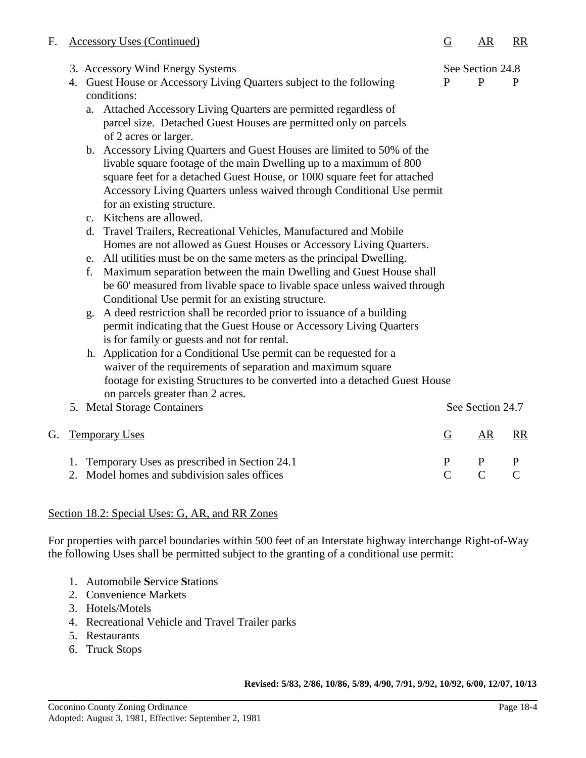| F. |                                         | <b>Accessory Uses (Continued)</b>                                                                                                                                                                                                                                                                                                                                                                                                                                                                                                                                                                                                                                                                                                                                                                                                                                                                                                                                                                                                                                                                                                                                                                                                                                                                                                                                                                                                                                                                                                | G                              | AR                               | <b>RR</b>                     |
|----|-----------------------------------------|----------------------------------------------------------------------------------------------------------------------------------------------------------------------------------------------------------------------------------------------------------------------------------------------------------------------------------------------------------------------------------------------------------------------------------------------------------------------------------------------------------------------------------------------------------------------------------------------------------------------------------------------------------------------------------------------------------------------------------------------------------------------------------------------------------------------------------------------------------------------------------------------------------------------------------------------------------------------------------------------------------------------------------------------------------------------------------------------------------------------------------------------------------------------------------------------------------------------------------------------------------------------------------------------------------------------------------------------------------------------------------------------------------------------------------------------------------------------------------------------------------------------------------|--------------------------------|----------------------------------|-------------------------------|
|    |                                         | 3. Accessory Wind Energy Systems<br>4. Guest House or Accessory Living Quarters subject to the following<br>conditions:<br>Attached Accessory Living Quarters are permitted regardless of<br>a.<br>parcel size. Detached Guest Houses are permitted only on parcels<br>of 2 acres or larger.<br>b. Accessory Living Quarters and Guest Houses are limited to 50% of the<br>livable square footage of the main Dwelling up to a maximum of 800<br>square feet for a detached Guest House, or 1000 square feet for attached<br>Accessory Living Quarters unless waived through Conditional Use permit<br>for an existing structure.<br>c. Kitchens are allowed.<br>Travel Trailers, Recreational Vehicles, Manufactured and Mobile<br>d.<br>Homes are not allowed as Guest Houses or Accessory Living Quarters.<br>All utilities must be on the same meters as the principal Dwelling.<br>e.<br>Maximum separation between the main Dwelling and Guest House shall<br>f.<br>be 60' measured from livable space to livable space unless waived through<br>Conditional Use permit for an existing structure.<br>A deed restriction shall be recorded prior to issuance of a building<br>g.<br>permit indicating that the Guest House or Accessory Living Quarters<br>is for family or guests and not for rental.<br>h. Application for a Conditional Use permit can be requested for a<br>waiver of the requirements of separation and maximum square<br>footage for existing Structures to be converted into a detached Guest House | $\mathbf{P}$                   | See Section 24.8<br>$\mathbf{P}$ | P                             |
|    |                                         | on parcels greater than 2 acres.<br>5. Metal Storage Containers                                                                                                                                                                                                                                                                                                                                                                                                                                                                                                                                                                                                                                                                                                                                                                                                                                                                                                                                                                                                                                                                                                                                                                                                                                                                                                                                                                                                                                                                  |                                | See Section 24.7                 |                               |
| G. | <b>Temporary Uses</b><br>$\overline{G}$ |                                                                                                                                                                                                                                                                                                                                                                                                                                                                                                                                                                                                                                                                                                                                                                                                                                                                                                                                                                                                                                                                                                                                                                                                                                                                                                                                                                                                                                                                                                                                  |                                | AR                               | <b>RR</b>                     |
|    |                                         | 1. Temporary Uses as prescribed in Section 24.1<br>2. Model homes and subdivision sales offices                                                                                                                                                                                                                                                                                                                                                                                                                                                                                                                                                                                                                                                                                                                                                                                                                                                                                                                                                                                                                                                                                                                                                                                                                                                                                                                                                                                                                                  | $\mathbf{P}$<br>$\overline{C}$ | $\mathbf{P}$<br>$\mathcal{C}$    | $\mathbf{P}$<br>$\mathcal{C}$ |

# Section 18.2: Special Uses: G, AR, and RR Zones

For properties with parcel boundaries within 500 feet of an Interstate highway interchange Right-of-Way the following Uses shall be permitted subject to the granting of a conditional use permit:

- 1. Automobile **S**ervice **S**tations
- 2. Convenience Markets
- 3. Hotels/Motels
- 4. Recreational Vehicle and Travel Trailer parks
- 5. Restaurants
- 6. Truck Stops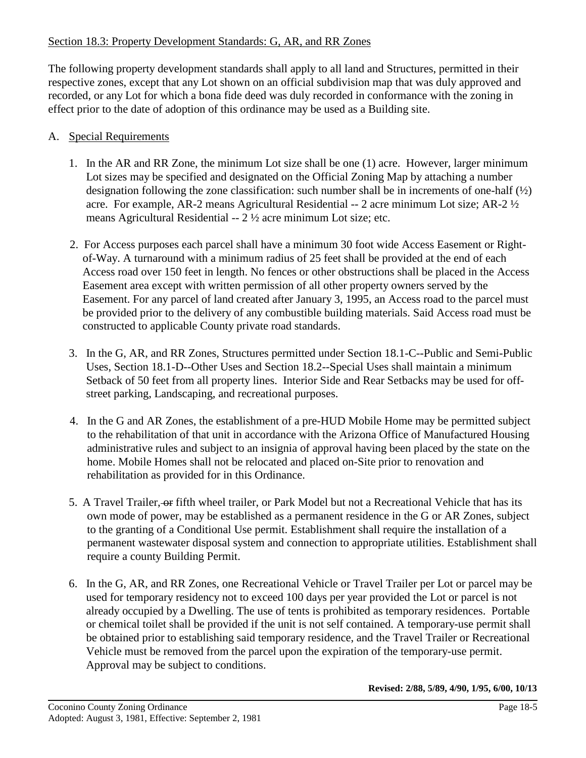## Section 18.3: Property Development Standards: G, AR, and RR Zones

The following property development standards shall apply to all land and Structures, permitted in their respective zones, except that any Lot shown on an official subdivision map that was duly approved and recorded, or any Lot for which a bona fide deed was duly recorded in conformance with the zoning in effect prior to the date of adoption of this ordinance may be used as a Building site.

## A. Special Requirements

- 1. In the AR and RR Zone, the minimum Lot size shall be one (1) acre. However, larger minimum Lot sizes may be specified and designated on the Official Zoning Map by attaching a number designation following the zone classification: such number shall be in increments of one-half  $(\frac{1}{2})$ acre. For example, AR-2 means Agricultural Residential -- 2 acre minimum Lot size; AR-2 ½ means Agricultural Residential -- 2 ½ acre minimum Lot size; etc.
- 2. For Access purposes each parcel shall have a minimum 30 foot wide Access Easement or Rightof-Way. A turnaround with a minimum radius of 25 feet shall be provided at the end of each Access road over 150 feet in length. No fences or other obstructions shall be placed in the Access Easement area except with written permission of all other property owners served by the Easement. For any parcel of land created after January 3, 1995, an Access road to the parcel must be provided prior to the delivery of any combustible building materials. Said Access road must be constructed to applicable County private road standards.
- 3. In the G, AR, and RR Zones, Structures permitted under Section 18.1-C--Public and Semi-Public Uses, Section 18.1-D--Other Uses and Section 18.2--Special Uses shall maintain a minimum Setback of 50 feet from all property lines. Interior Side and Rear Setbacks may be used for offstreet parking, Landscaping, and recreational purposes.
- 4. In the G and AR Zones, the establishment of a pre-HUD Mobile Home may be permitted subject to the rehabilitation of that unit in accordance with the Arizona Office of Manufactured Housing administrative rules and subject to an insignia of approval having been placed by the state on the home. Mobile Homes shall not be relocated and placed on-Site prior to renovation and rehabilitation as provided for in this Ordinance.
- 5. A Travel Trailer, or fifth wheel trailer, or Park Model but not a Recreational Vehicle that has its own mode of power, may be established as a permanent residence in the G or AR Zones, subject to the granting of a Conditional Use permit. Establishment shall require the installation of a permanent wastewater disposal system and connection to appropriate utilities. Establishment shall require a county Building Permit.
- 6. In the G, AR, and RR Zones, one Recreational Vehicle or Travel Trailer per Lot or parcel may be used for temporary residency not to exceed 100 days per year provided the Lot or parcel is not already occupied by a Dwelling. The use of tents is prohibited as temporary residences. Portable or chemical toilet shall be provided if the unit is not self contained. A temporary-use permit shall be obtained prior to establishing said temporary residence, and the Travel Trailer or Recreational Vehicle must be removed from the parcel upon the expiration of the temporary-use permit. Approval may be subject to conditions.

**Revised: 2/88, 5/89, 4/90, 1/95, 6/00, 10/13**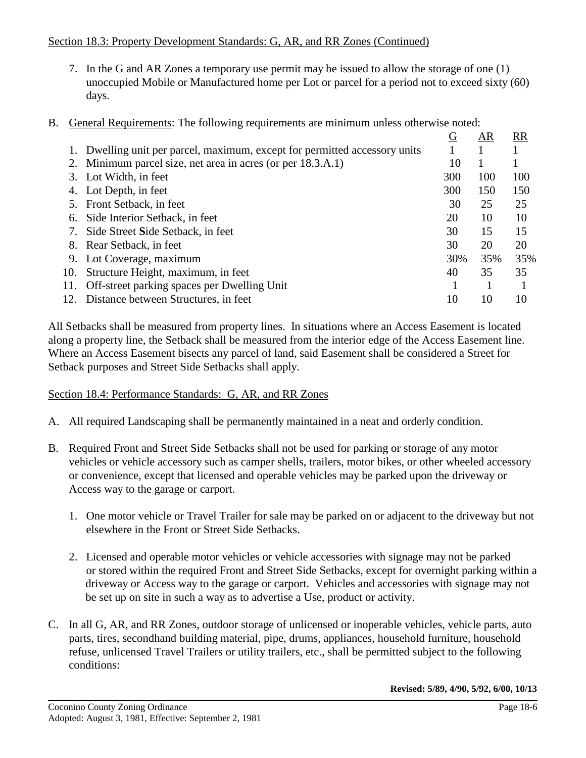### Section 18.3: Property Development Standards: G, AR, and RR Zones (Continued)

- 7. In the G and AR Zones a temporary use permit may be issued to allow the storage of one (1) unoccupied Mobile or Manufactured home per Lot or parcel for a period not to exceed sixty (60) days.
- B. General Requirements: The following requirements are minimum unless otherwise noted:

|                                      | G                                                                                                                                                                                                                                                                                                                                                                                                                       | AR  | <b>RR</b> |
|--------------------------------------|-------------------------------------------------------------------------------------------------------------------------------------------------------------------------------------------------------------------------------------------------------------------------------------------------------------------------------------------------------------------------------------------------------------------------|-----|-----------|
|                                      |                                                                                                                                                                                                                                                                                                                                                                                                                         |     |           |
|                                      | 10                                                                                                                                                                                                                                                                                                                                                                                                                      |     |           |
|                                      | 300                                                                                                                                                                                                                                                                                                                                                                                                                     | 100 | 100       |
|                                      | 300                                                                                                                                                                                                                                                                                                                                                                                                                     | 150 | 150       |
|                                      | 30                                                                                                                                                                                                                                                                                                                                                                                                                      | 25  | 25        |
|                                      | 20                                                                                                                                                                                                                                                                                                                                                                                                                      | 10  | 10        |
|                                      | 30                                                                                                                                                                                                                                                                                                                                                                                                                      | 15  | 15        |
|                                      | 30                                                                                                                                                                                                                                                                                                                                                                                                                      | 20  | 20        |
|                                      | 30%                                                                                                                                                                                                                                                                                                                                                                                                                     | 35% | 35%       |
| Structure Height, maximum, in feet   | 40                                                                                                                                                                                                                                                                                                                                                                                                                      | 35  | 35        |
|                                      |                                                                                                                                                                                                                                                                                                                                                                                                                         |     |           |
| Distance between Structures, in feet | 10                                                                                                                                                                                                                                                                                                                                                                                                                      | 10  | 10        |
|                                      | 1. Dwelling unit per parcel, maximum, except for permitted accessory units<br>2. Minimum parcel size, net area in acres (or per 18.3.A.1)<br>3. Lot Width, in feet<br>4. Lot Depth, in feet<br>5. Front Setback, in feet<br>6. Side Interior Setback, in feet<br>7. Side Street Side Setback, in feet<br>8. Rear Setback, in feet<br>9. Lot Coverage, maximum<br>10.<br>11. Off-street parking spaces per Dwelling Unit |     |           |

All Setbacks shall be measured from property lines. In situations where an Access Easement is located along a property line, the Setback shall be measured from the interior edge of the Access Easement line. Where an Access Easement bisects any parcel of land, said Easement shall be considered a Street for Setback purposes and Street Side Setbacks shall apply.

### Section 18.4: Performance Standards: G, AR, and RR Zones

- A. All required Landscaping shall be permanently maintained in a neat and orderly condition.
- B. Required Front and Street Side Setbacks shall not be used for parking or storage of any motor vehicles or vehicle accessory such as camper shells, trailers, motor bikes, or other wheeled accessory or convenience, except that licensed and operable vehicles may be parked upon the driveway or Access way to the garage or carport.
	- 1. One motor vehicle or Travel Trailer for sale may be parked on or adjacent to the driveway but not elsewhere in the Front or Street Side Setbacks.
	- 2. Licensed and operable motor vehicles or vehicle accessories with signage may not be parked or stored within the required Front and Street Side Setbacks, except for overnight parking within a driveway or Access way to the garage or carport. Vehicles and accessories with signage may not be set up on site in such a way as to advertise a Use, product or activity.
- C. In all G, AR, and RR Zones, outdoor storage of unlicensed or inoperable vehicles, vehicle parts, auto parts, tires, secondhand building material, pipe, drums, appliances, household furniture, household refuse, unlicensed Travel Trailers or utility trailers, etc., shall be permitted subject to the following conditions: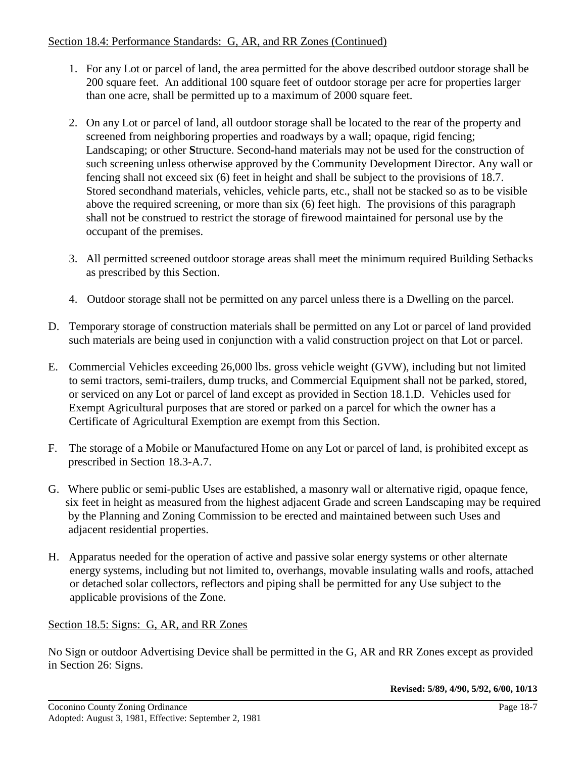### Section 18.4: Performance Standards: G, AR, and RR Zones (Continued)

- 1. For any Lot or parcel of land, the area permitted for the above described outdoor storage shall be 200 square feet. An additional 100 square feet of outdoor storage per acre for properties larger than one acre, shall be permitted up to a maximum of 2000 square feet.
- 2. On any Lot or parcel of land, all outdoor storage shall be located to the rear of the property and screened from neighboring properties and roadways by a wall; opaque, rigid fencing; Landscaping; or other **S**tructure. Second**-**hand materials may not be used for the construction of such screening unless otherwise approved by the Community Development Director. Any wall or fencing shall not exceed six (6) feet in height and shall be subject to the provisions of 18.7. Stored secondhand materials, vehicles, vehicle parts, etc., shall not be stacked so as to be visible above the required screening, or more than six (6) feet high. The provisions of this paragraph shall not be construed to restrict the storage of firewood maintained for personal use by the occupant of the premises.
- 3. All permitted screened outdoor storage areas shall meet the minimum required Building Setbacks as prescribed by this Section.
- 4. Outdoor storage shall not be permitted on any parcel unless there is a Dwelling on the parcel.
- D. Temporary storage of construction materials shall be permitted on any Lot or parcel of land provided such materials are being used in conjunction with a valid construction project on that Lot or parcel.
- E. Commercial Vehicles exceeding 26,000 lbs. gross vehicle weight (GVW), including but not limited to semi tractors, semi-trailers, dump trucks, and Commercial Equipment shall not be parked, stored, or serviced on any Lot or parcel of land except as provided in Section 18.1.D. Vehicles used for Exempt Agricultural purposes that are stored or parked on a parcel for which the owner has a Certificate of Agricultural Exemption are exempt from this Section.
- F. The storage of a Mobile or Manufactured Home on any Lot or parcel of land, is prohibited except as prescribed in Section 18.3-A.7.
- G. Where public or semi-public Uses are established, a masonry wall or alternative rigid, opaque fence, six feet in height as measured from the highest adjacent Grade and screen Landscaping may be required by the Planning and Zoning Commission to be erected and maintained between such Uses and adjacent residential properties.
- H. Apparatus needed for the operation of active and passive solar energy systems or other alternate energy systems, including but not limited to, overhangs, movable insulating walls and roofs, attached or detached solar collectors, reflectors and piping shall be permitted for any Use subject to the applicable provisions of the Zone.

# Section 18.5: Signs: G, AR, and RR Zones

No Sign or outdoor Advertising Device shall be permitted in the G, AR and RR Zones except as provided in Section 26: Signs.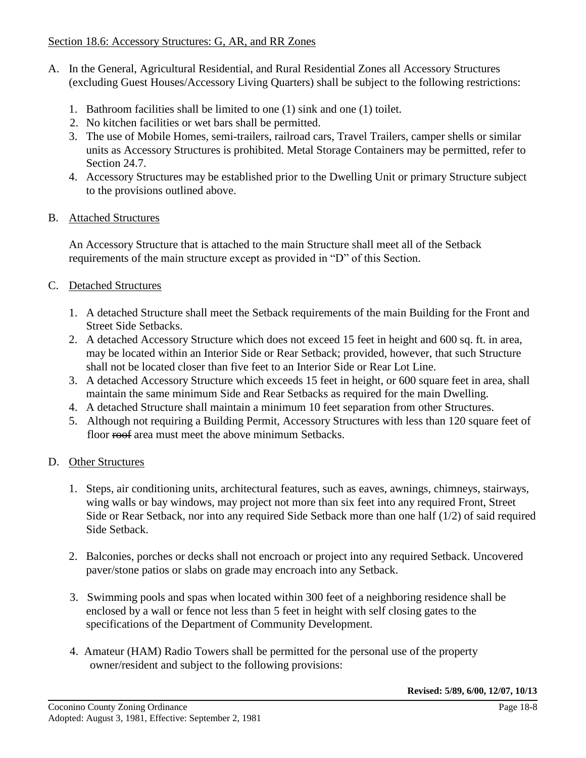- A. In the General, Agricultural Residential, and Rural Residential Zones all Accessory Structures (excluding Guest Houses/Accessory Living Quarters) shall be subject to the following restrictions:
	- 1. Bathroom facilities shall be limited to one (1) sink and one (1) toilet.
	- 2. No kitchen facilities or wet bars shall be permitted.
	- 3. The use of Mobile Homes, semi-trailers, railroad cars, Travel Trailers, camper shells or similar units as Accessory Structures is prohibited. Metal Storage Containers may be permitted, refer to Section 24.7.
	- 4. Accessory Structures may be established prior to the Dwelling Unit or primary Structure subject to the provisions outlined above.
- B. Attached Structures

An Accessory Structure that is attached to the main Structure shall meet all of the Setback requirements of the main structure except as provided in "D" of this Section.

## C. Detached Structures

- 1. A detached Structure shall meet the Setback requirements of the main Building for the Front and Street Side Setbacks.
- 2. A detached Accessory Structure which does not exceed 15 feet in height and 600 sq. ft. in area, may be located within an Interior Side or Rear Setback; provided, however, that such Structure shall not be located closer than five feet to an Interior Side or Rear Lot Line.
- 3. A detached Accessory Structure which exceeds 15 feet in height, or 600 square feet in area, shall maintain the same minimum Side and Rear Setbacks as required for the main Dwelling.
- 4. A detached Structure shall maintain a minimum 10 feet separation from other Structures.
- 5. Although not requiring a Building Permit, Accessory Structures with less than 120 square feet of floor roof area must meet the above minimum Setbacks.

### D. Other Structures

- 1. Steps, air conditioning units, architectural features, such as eaves, awnings, chimneys, stairways, wing walls or bay windows, may project not more than six feet into any required Front, Street Side or Rear Setback, nor into any required Side Setback more than one half (1/2) of said required Side Setback.
- 2. Balconies, porches or decks shall not encroach or project into any required Setback. Uncovered paver/stone patios or slabs on grade may encroach into any Setback.
- 3. Swimming pools and spas when located within 300 feet of a neighboring residence shall be enclosed by a wall or fence not less than 5 feet in height with self closing gates to the specifications of the Department of Community Development.
- 4. Amateur (HAM) Radio Towers shall be permitted for the personal use of the property owner/resident and subject to the following provisions:

**Revised: 5/89, 6/00, 12/07, 10/13**